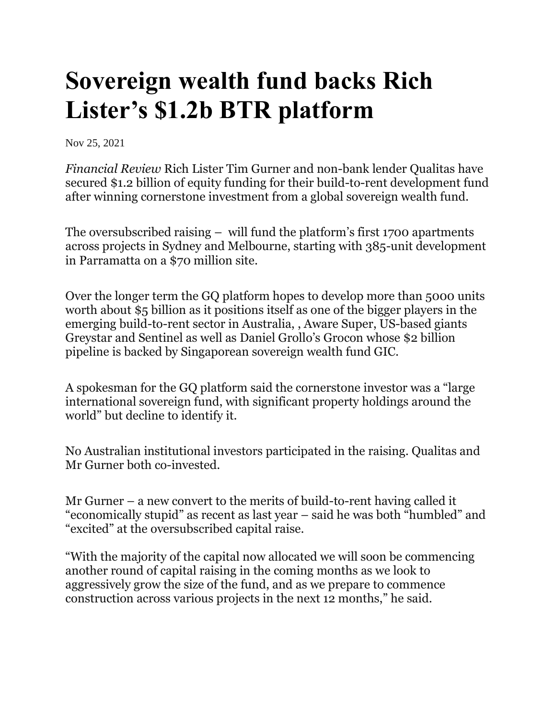## **Sovereign wealth fund backs Rich Lister's \$1.2b BTR platform**

Nov 25, 2021

*Financial Review* Rich Lister Tim Gurner and non-bank lender Qualitas have secured \$1.2 billion of equity funding for their build-to-rent development fund after winning cornerstone investment from a global sovereign wealth fund.

The oversubscribed raising – will fund the platform's first 1700 apartments across projects in Sydney and Melbourne, starting with 385-unit development in Parramatta on a \$70 million site.

Over the longer term the GQ platform hopes to develop more than 5000 units worth about \$5 billion as it positions itself as one of the bigger players in the emerging build-to-rent sector in Australia, , Aware Super, US-based giants Greystar and Sentinel as well as Daniel Grollo's Grocon whose \$2 billion pipeline is backed by Singaporean sovereign wealth fund GIC.

A spokesman for the GQ platform said the cornerstone investor was a "large international sovereign fund, with significant property holdings around the world" but decline to identify it.

No Australian institutional investors participated in the raising. Qualitas and Mr Gurner both co-invested.

Mr Gurner – a new convert to the merits of build-to-rent having called it "economically stupid" as recent as last year – said he was both "humbled" and "excited" at the oversubscribed capital raise.

"With the majority of the capital now allocated we will soon be commencing another round of capital raising in the coming months as we look to aggressively grow the size of the fund, and as we prepare to commence construction across various projects in the next 12 months," he said.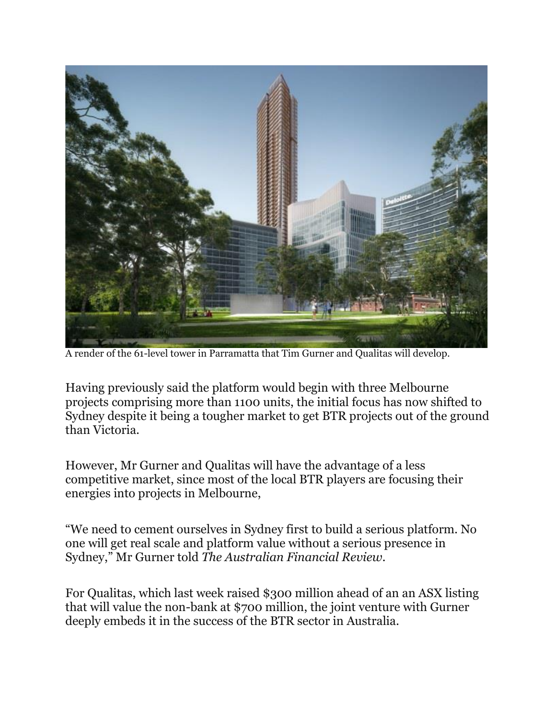

A render of the 61-level tower in Parramatta that Tim Gurner and Qualitas will develop.

Having previously said the platform would begin with three Melbourne projects comprising more than 1100 units, the initial focus has now shifted to Sydney despite it being a tougher market to get BTR projects out of the ground than Victoria.

However, Mr Gurner and Qualitas will have the advantage of a less competitive market, since most of the local BTR players are focusing their energies into projects in Melbourne,

"We need to cement ourselves in Sydney first to build a serious platform. No one will get real scale and platform value without a serious presence in Sydney," Mr Gurner told *The Australian Financial Review.*

For Qualitas, which last week raised \$300 million ahead of an an ASX listing that will value the non-bank at \$700 million, the joint venture with Gurner deeply embeds it in the success of the BTR sector in Australia.